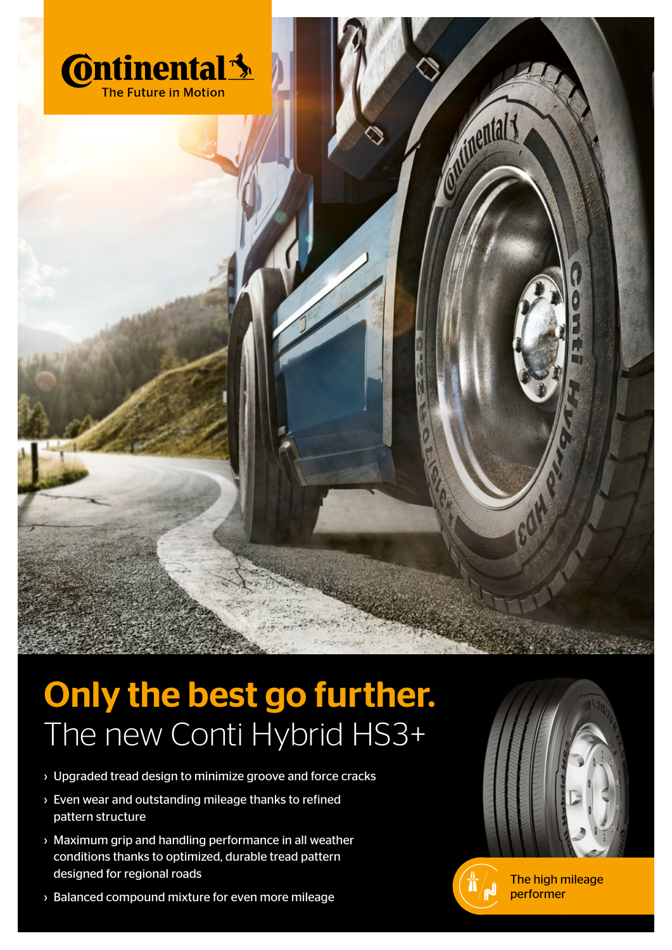

## The new Conti Hybrid HS3+ Only the best go further.

- › Upgraded tread design to minimize groove and force cracks
- › Even wear and outstanding mileage thanks to refined pattern structure
- › Maximum grip and handling performance in all weather conditions thanks to optimized, durable tread pattern designed for regional roads
- › Balanced compound mixture for even more mileage





**Municipal 3** 

The high mileage performer